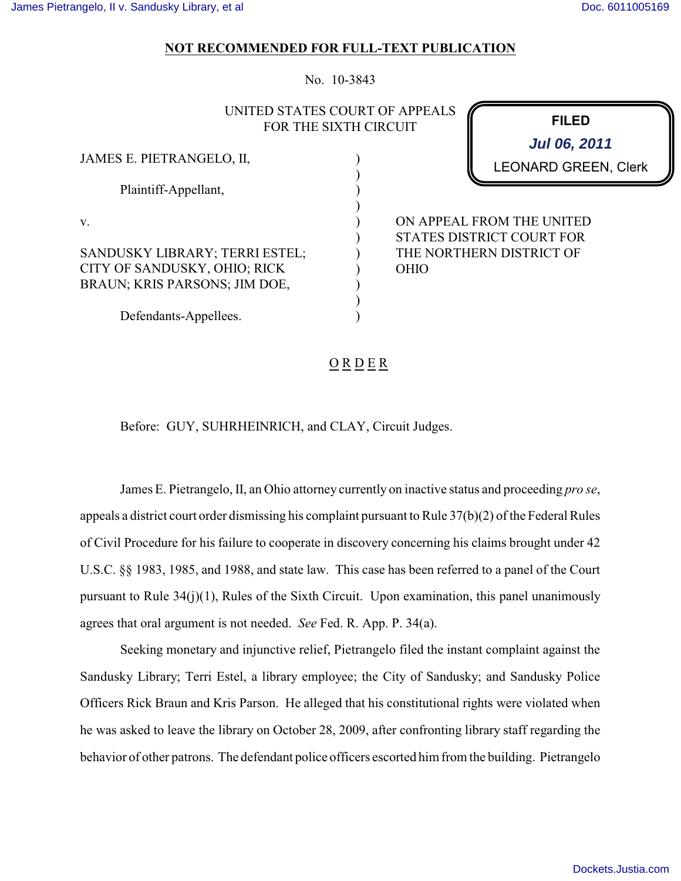## **NOT RECOMMENDED FOR FULL-TEXT PUBLICATION**

No. 10-3843

## UNITED STATES COURT OF APPEALS FOR THE SIXTH CIRCUIT

) ) ) ) ) ) ) ) ) ) )

| JAMES E. PIETRANGELO, II,                                                                       |
|-------------------------------------------------------------------------------------------------|
| Plaintiff-Appellant,                                                                            |
| v.                                                                                              |
| SANDUSKY LIBRARY; TERRI ESTEL;<br>CITY OF SANDUSKY, OHIO; RICK<br>BRAUN; KRIS PARSONS; JIM DOE, |
| Defendants-Appellees.                                                                           |

LEONARD GREEN, Clerk **Jul 06, 2011**

**FILED**

ON APPEAL FROM THE UNITED STATES DISTRICT COURT FOR THE NORTHERN DISTRICT OF OHIO

## $O$  R D E R

Before: GUY, SUHRHEINRICH, and CLAY, Circuit Judges.

James E. Pietrangelo, II, an Ohio attorney currently on inactive status and proceeding *pro se*, appeals a district court order dismissing his complaint pursuant to Rule 37(b)(2) of the Federal Rules of Civil Procedure for his failure to cooperate in discovery concerning his claims brought under 42 U.S.C. §§ 1983, 1985, and 1988, and state law. This case has been referred to a panel of the Court pursuant to Rule 34(j)(1), Rules of the Sixth Circuit. Upon examination, this panel unanimously agrees that oral argument is not needed. *See* Fed. R. App. P. 34(a).

Seeking monetary and injunctive relief, Pietrangelo filed the instant complaint against the Sandusky Library; Terri Estel, a library employee; the City of Sandusky; and Sandusky Police Officers Rick Braun and Kris Parson. He alleged that his constitutional rights were violated when he was asked to leave the library on October 28, 2009, after confronting library staff regarding the behavior of other patrons. The defendant police officers escorted him from the building. Pietrangelo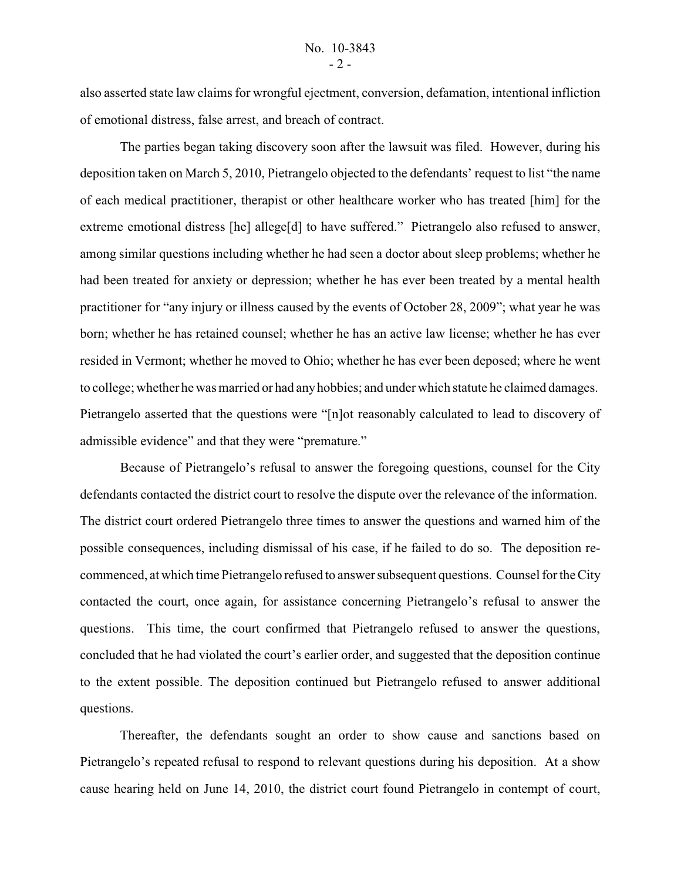also asserted state law claims for wrongful ejectment, conversion, defamation, intentional infliction of emotional distress, false arrest, and breach of contract.

The parties began taking discovery soon after the lawsuit was filed. However, during his deposition taken on March 5, 2010, Pietrangelo objected to the defendants' request to list "the name of each medical practitioner, therapist or other healthcare worker who has treated [him] for the extreme emotional distress [he] allege[d] to have suffered." Pietrangelo also refused to answer, among similar questions including whether he had seen a doctor about sleep problems; whether he had been treated for anxiety or depression; whether he has ever been treated by a mental health practitioner for "any injury or illness caused by the events of October 28, 2009"; what year he was born; whether he has retained counsel; whether he has an active law license; whether he has ever resided in Vermont; whether he moved to Ohio; whether he has ever been deposed; where he went to college; whether he was married or had any hobbies; and under which statute he claimed damages. Pietrangelo asserted that the questions were "[n]ot reasonably calculated to lead to discovery of admissible evidence" and that they were "premature."

Because of Pietrangelo's refusal to answer the foregoing questions, counsel for the City defendants contacted the district court to resolve the dispute over the relevance of the information. The district court ordered Pietrangelo three times to answer the questions and warned him of the possible consequences, including dismissal of his case, if he failed to do so. The deposition recommenced, at which time Pietrangelo refused to answer subsequent questions. Counsel for the City contacted the court, once again, for assistance concerning Pietrangelo's refusal to answer the questions. This time, the court confirmed that Pietrangelo refused to answer the questions, concluded that he had violated the court's earlier order, and suggested that the deposition continue to the extent possible. The deposition continued but Pietrangelo refused to answer additional questions.

Thereafter, the defendants sought an order to show cause and sanctions based on Pietrangelo's repeated refusal to respond to relevant questions during his deposition. At a show cause hearing held on June 14, 2010, the district court found Pietrangelo in contempt of court,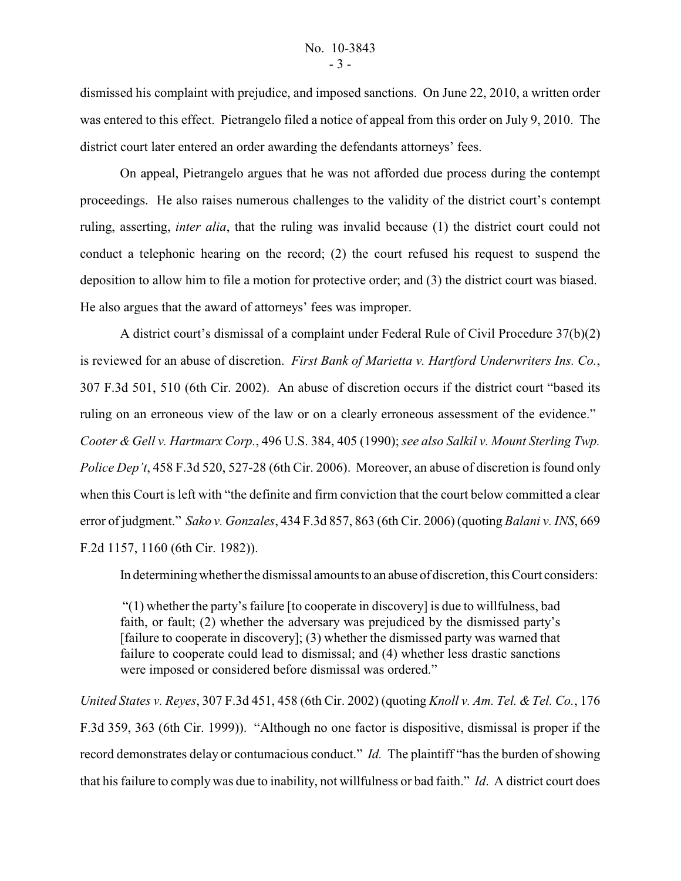dismissed his complaint with prejudice, and imposed sanctions. On June 22, 2010, a written order was entered to this effect. Pietrangelo filed a notice of appeal from this order on July 9, 2010. The district court later entered an order awarding the defendants attorneys' fees.

On appeal, Pietrangelo argues that he was not afforded due process during the contempt proceedings. He also raises numerous challenges to the validity of the district court's contempt ruling, asserting, *inter alia*, that the ruling was invalid because (1) the district court could not conduct a telephonic hearing on the record; (2) the court refused his request to suspend the deposition to allow him to file a motion for protective order; and (3) the district court was biased. He also argues that the award of attorneys' fees was improper.

A district court's dismissal of a complaint under Federal Rule of Civil Procedure 37(b)(2) is reviewed for an abuse of discretion. *First Bank of Marietta v. Hartford Underwriters Ins. Co.*, 307 F.3d 501, 510 (6th Cir. 2002). An abuse of discretion occurs if the district court "based its ruling on an erroneous view of the law or on a clearly erroneous assessment of the evidence." *Cooter & Gell v. Hartmarx Corp.*, 496 U.S. 384, 405 (1990); *see also Salkil v. Mount Sterling Twp. Police Dep't*, 458 F.3d 520, 527-28 (6th Cir. 2006). Moreover, an abuse of discretion is found only when this Court is left with "the definite and firm conviction that the court below committed a clear error of judgment." *Sako v. Gonzales*, 434 F.3d 857, 863 (6th Cir. 2006) (quoting *Balani v. INS*, 669 F.2d 1157, 1160 (6th Cir. 1982)).

In determining whether the dismissal amounts to an abuse of discretion, this Court considers:

 "(1) whether the party's failure [to cooperate in discovery] is due to willfulness, bad faith, or fault; (2) whether the adversary was prejudiced by the dismissed party's [failure to cooperate in discovery]; (3) whether the dismissed party was warned that failure to cooperate could lead to dismissal; and (4) whether less drastic sanctions were imposed or considered before dismissal was ordered."

*United States v. Reyes*, 307 F.3d 451, 458 (6th Cir. 2002) (quoting *Knoll v. Am. Tel. & Tel. Co.*, 176 F.3d 359, 363 (6th Cir. 1999)). "Although no one factor is dispositive, dismissal is proper if the record demonstrates delay or contumacious conduct." *Id.* The plaintiff "has the burden of showing that his failure to comply was due to inability, not willfulness or bad faith." *Id*. A district court does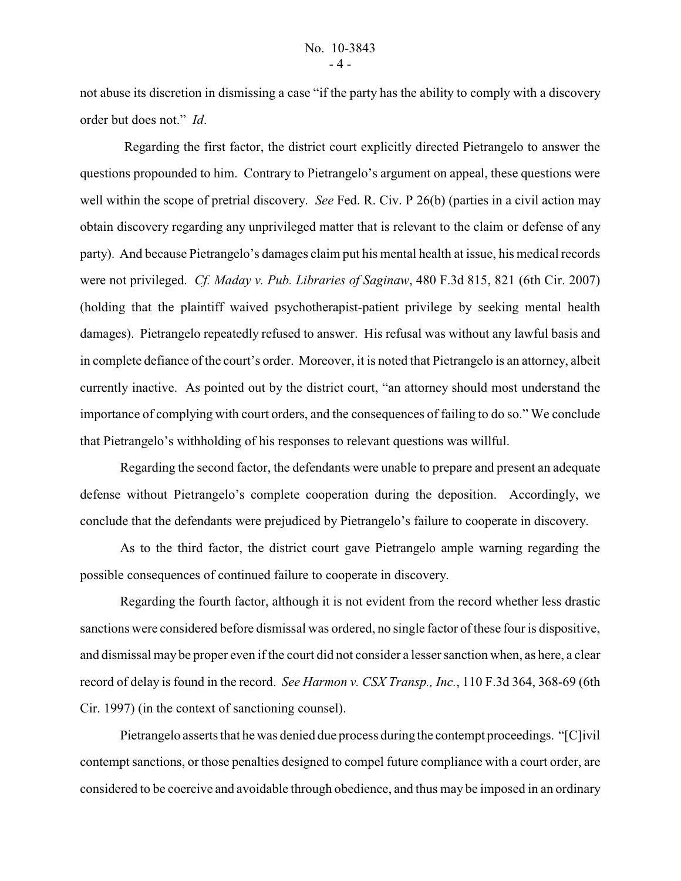not abuse its discretion in dismissing a case "if the party has the ability to comply with a discovery order but does not." *Id*.

 Regarding the first factor, the district court explicitly directed Pietrangelo to answer the questions propounded to him. Contrary to Pietrangelo's argument on appeal, these questions were well within the scope of pretrial discovery. *See* Fed. R. Civ. P 26(b) (parties in a civil action may obtain discovery regarding any unprivileged matter that is relevant to the claim or defense of any party). And because Pietrangelo's damages claim put his mental health at issue, his medical records were not privileged. *Cf. Maday v. Pub. Libraries of Saginaw*, 480 F.3d 815, 821 (6th Cir. 2007) (holding that the plaintiff waived psychotherapist-patient privilege by seeking mental health damages). Pietrangelo repeatedly refused to answer. His refusal was without any lawful basis and in complete defiance of the court's order. Moreover, it is noted that Pietrangelo is an attorney, albeit currently inactive. As pointed out by the district court, "an attorney should most understand the importance of complying with court orders, and the consequences of failing to do so." We conclude that Pietrangelo's withholding of his responses to relevant questions was willful.

Regarding the second factor, the defendants were unable to prepare and present an adequate defense without Pietrangelo's complete cooperation during the deposition. Accordingly, we conclude that the defendants were prejudiced by Pietrangelo's failure to cooperate in discovery.

As to the third factor, the district court gave Pietrangelo ample warning regarding the possible consequences of continued failure to cooperate in discovery.

Regarding the fourth factor, although it is not evident from the record whether less drastic sanctions were considered before dismissal was ordered, no single factor of these four is dispositive, and dismissal may be proper even if the court did not consider a lesser sanction when, as here, a clear record of delay is found in the record. *See Harmon v. CSX Transp., Inc.*, 110 F.3d 364, 368-69 (6th Cir. 1997) (in the context of sanctioning counsel).

Pietrangelo asserts that he was denied due process during the contempt proceedings. "[C]ivil contempt sanctions, or those penalties designed to compel future compliance with a court order, are considered to be coercive and avoidable through obedience, and thus may be imposed in an ordinary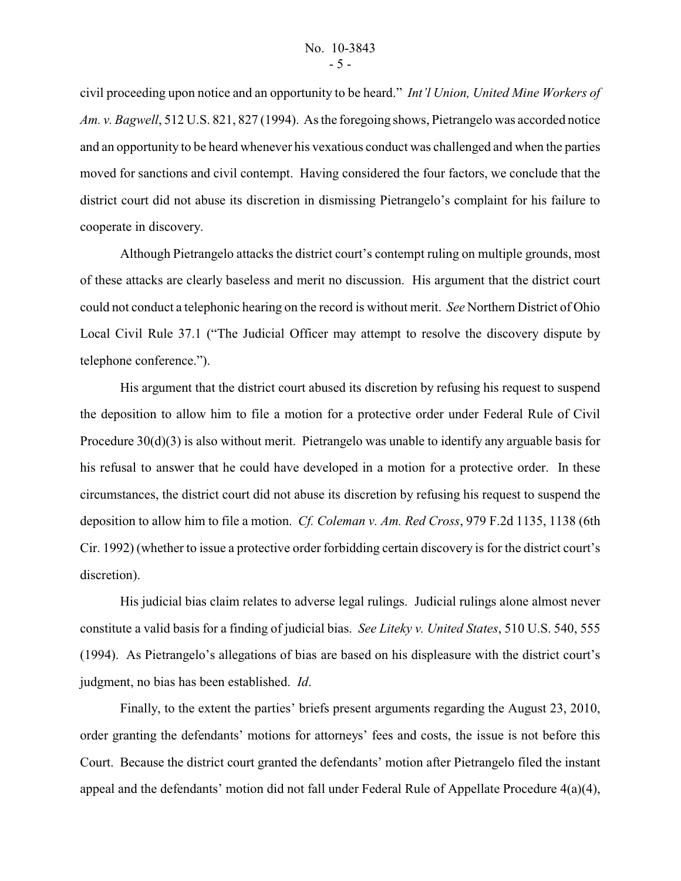civil proceeding upon notice and an opportunity to be heard." *Int'l Union, United Mine Workers of Am. v. Bagwell*, 512 U.S. 821, 827 (1994). As the foregoing shows, Pietrangelo was accorded notice and an opportunity to be heard whenever his vexatious conduct was challenged and when the parties moved for sanctions and civil contempt. Having considered the four factors, we conclude that the district court did not abuse its discretion in dismissing Pietrangelo's complaint for his failure to cooperate in discovery.

Although Pietrangelo attacks the district court's contempt ruling on multiple grounds, most of these attacks are clearly baseless and merit no discussion. His argument that the district court could not conduct a telephonic hearing on the record is without merit. *See* Northern District of Ohio Local Civil Rule 37.1 ("The Judicial Officer may attempt to resolve the discovery dispute by telephone conference.").

His argument that the district court abused its discretion by refusing his request to suspend the deposition to allow him to file a motion for a protective order under Federal Rule of Civil Procedure  $30(d)(3)$  is also without merit. Pietrangelo was unable to identify any arguable basis for his refusal to answer that he could have developed in a motion for a protective order. In these circumstances, the district court did not abuse its discretion by refusing his request to suspend the deposition to allow him to file a motion. *Cf. Coleman v. Am. Red Cross*, 979 F.2d 1135, 1138 (6th Cir. 1992) (whether to issue a protective order forbidding certain discovery is for the district court's discretion).

His judicial bias claim relates to adverse legal rulings. Judicial rulings alone almost never constitute a valid basis for a finding of judicial bias. *See Liteky v. United States*, 510 U.S. 540, 555 (1994). As Pietrangelo's allegations of bias are based on his displeasure with the district court's judgment, no bias has been established. *Id*.

Finally, to the extent the parties' briefs present arguments regarding the August 23, 2010, order granting the defendants' motions for attorneys' fees and costs, the issue is not before this Court. Because the district court granted the defendants' motion after Pietrangelo filed the instant appeal and the defendants' motion did not fall under Federal Rule of Appellate Procedure 4(a)(4),